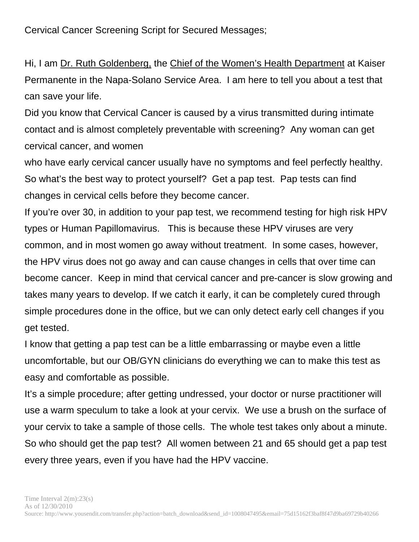Cervical Cancer Screening Script for Secured Messages;

Hi, I am Dr. Ruth Goldenberg, the Chief of the Women's Health Department at Kaiser Permanente in the Napa-Solano Service Area. I am here to tell you about a test that can save your life.

Did you know that Cervical Cancer is caused by a virus transmitted during intimate contact and is almost completely preventable with screening? Any woman can get cervical cancer, and women

who have early cervical cancer usually have no symptoms and feel perfectly healthy. So what's the best way to protect yourself? Get a pap test. Pap tests can find changes in cervical cells before they become cancer.

If you're over 30, in addition to your pap test, we recommend testing for high risk HPV types or Human Papillomavirus. This is because these HPV viruses are very common, and in most women go away without treatment. In some cases, however, the HPV virus does not go away and can cause changes in cells that over time can become cancer. Keep in mind that cervical cancer and pre-cancer is slow growing and takes many years to develop. If we catch it early, it can be completely cured through simple procedures done in the office, but we can only detect early cell changes if you get tested.

I know that getting a pap test can be a little embarrassing or maybe even a little uncomfortable, but our OB/GYN clinicians do everything we can to make this test as easy and comfortable as possible.

It's a simple procedure; after getting undressed, your doctor or nurse practitioner will use a warm speculum to take a look at your cervix. We use a brush on the surface of your cervix to take a sample of those cells. The whole test takes only about a minute. So who should get the pap test? All women between 21 and 65 should get a pap test every three years, even if you have had the HPV vaccine.